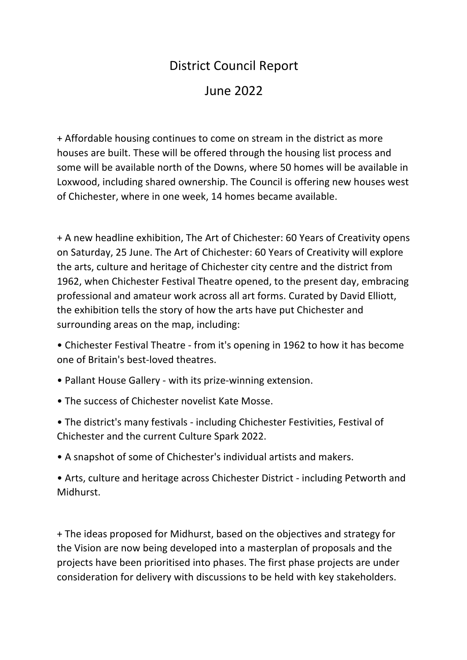## District Council Report

June 2022

+ Affordable housing continues to come on stream in the district as more houses are built. These will be offered through the housing list process and some will be available north of the Downs, where 50 homes will be available in Loxwood, including shared ownership. The Council is offering new houses west of Chichester, where in one week, 14 homes became available.

+ A new headline exhibition, The Art of Chichester: 60 Years of Creativity opens on Saturday, 25 June. The Art of Chichester: 60 Years of Creativity will explore the arts, culture and heritage of Chichester city centre and the district from 1962, when Chichester Festival Theatre opened, to the present day, embracing professional and amateur work across all art forms. Curated by David Elliott, the exhibition tells the story of how the arts have put Chichester and surrounding areas on the map, including:

- Chichester Festival Theatre from it's opening in 1962 to how it has become one of Britain's best-loved theatres.
- Pallant House Gallery with its prize-winning extension.
- The success of Chichester novelist Kate Mosse.
- The district's many festivals including Chichester Festivities, Festival of Chichester and the current Culture Spark 2022.
- A snapshot of some of Chichester's individual artists and makers.

• Arts, culture and heritage across Chichester District - including Petworth and Midhurst.

+ The ideas proposed for Midhurst, based on the objectives and strategy for the Vision are now being developed into a masterplan of proposals and the projects have been prioritised into phases. The first phase projects are under consideration for delivery with discussions to be held with key stakeholders.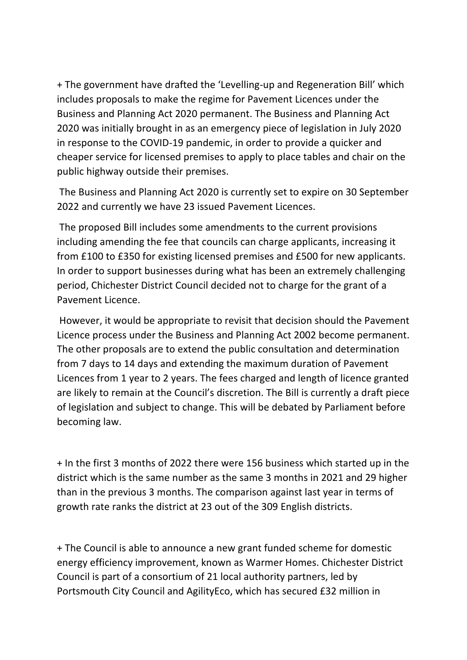+ The government have drafted the 'Levelling-up and Regeneration Bill' which includes proposals to make the regime for Pavement Licences under the Business and Planning Act 2020 permanent. The Business and Planning Act 2020 was initially brought in as an emergency piece of legislation in July 2020 in response to the COVID-19 pandemic, in order to provide a quicker and cheaper service for licensed premises to apply to place tables and chair on the public highway outside their premises.

The Business and Planning Act 2020 is currently set to expire on 30 September 2022 and currently we have 23 issued Pavement Licences.

The proposed Bill includes some amendments to the current provisions including amending the fee that councils can charge applicants, increasing it from £100 to £350 for existing licensed premises and £500 for new applicants. In order to support businesses during what has been an extremely challenging period, Chichester District Council decided not to charge for the grant of a Pavement Licence.

However, it would be appropriate to revisit that decision should the Pavement Licence process under the Business and Planning Act 2002 become permanent. The other proposals are to extend the public consultation and determination from 7 days to 14 days and extending the maximum duration of Pavement Licences from 1 year to 2 years. The fees charged and length of licence granted are likely to remain at the Council's discretion. The Bill is currently a draft piece of legislation and subject to change. This will be debated by Parliament before becoming law.

+ In the first 3 months of 2022 there were 156 business which started up in the district which is the same number as the same 3 months in 2021 and 29 higher than in the previous 3 months. The comparison against last year in terms of growth rate ranks the district at 23 out of the 309 English districts.

+ The Council is able to announce a new grant funded scheme for domestic energy efficiency improvement, known as Warmer Homes. Chichester District Council is part of a consortium of 21 local authority partners, led by Portsmouth City Council and AgilityEco, which has secured £32 million in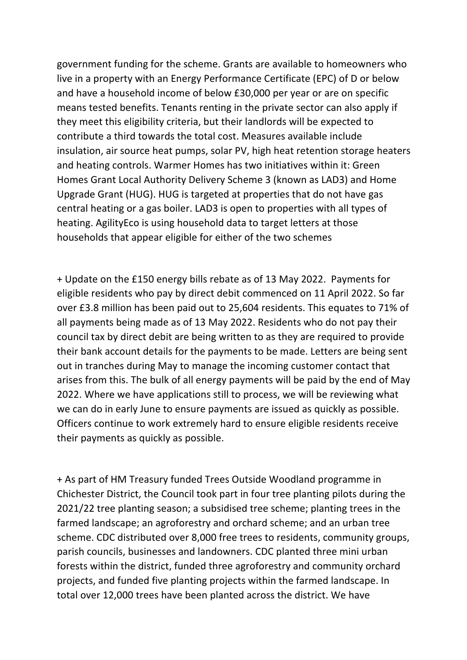government funding for the scheme. Grants are available to homeowners who live in a property with an Energy Performance Certificate (EPC) of D or below and have a household income of below £30,000 per year or are on specific means tested benefits. Tenants renting in the private sector can also apply if they meet this eligibility criteria, but their landlords will be expected to contribute a third towards the total cost. Measures available include insulation, air source heat pumps, solar PV, high heat retention storage heaters and heating controls. Warmer Homes has two initiatives within it: Green Homes Grant Local Authority Delivery Scheme 3 (known as LAD3) and Home Upgrade Grant (HUG). HUG is targeted at properties that do not have gas central heating or a gas boiler. LAD3 is open to properties with all types of heating. AgilityEco is using household data to target letters at those households that appear eligible for either of the two schemes

+ Update on the £150 energy bills rebate as of 13 May 2022. Payments for eligible residents who pay by direct debit commenced on 11 April 2022. So far over £3.8 million has been paid out to 25,604 residents. This equates to 71% of all payments being made as of 13 May 2022. Residents who do not pay their council tax by direct debit are being written to as they are required to provide their bank account details for the payments to be made. Letters are being sent out in tranches during May to manage the incoming customer contact that arises from this. The bulk of all energy payments will be paid by the end of May 2022. Where we have applications still to process, we will be reviewing what we can do in early June to ensure payments are issued as quickly as possible. Officers continue to work extremely hard to ensure eligible residents receive their payments as quickly as possible.

+ As part of HM Treasury funded Trees Outside Woodland programme in Chichester District, the Council took part in four tree planting pilots during the 2021/22 tree planting season; a subsidised tree scheme; planting trees in the farmed landscape; an agroforestry and orchard scheme; and an urban tree scheme. CDC distributed over 8,000 free trees to residents, community groups, parish councils, businesses and landowners. CDC planted three mini urban forests within the district, funded three agroforestry and community orchard projects, and funded five planting projects within the farmed landscape. In total over 12,000 trees have been planted across the district. We have